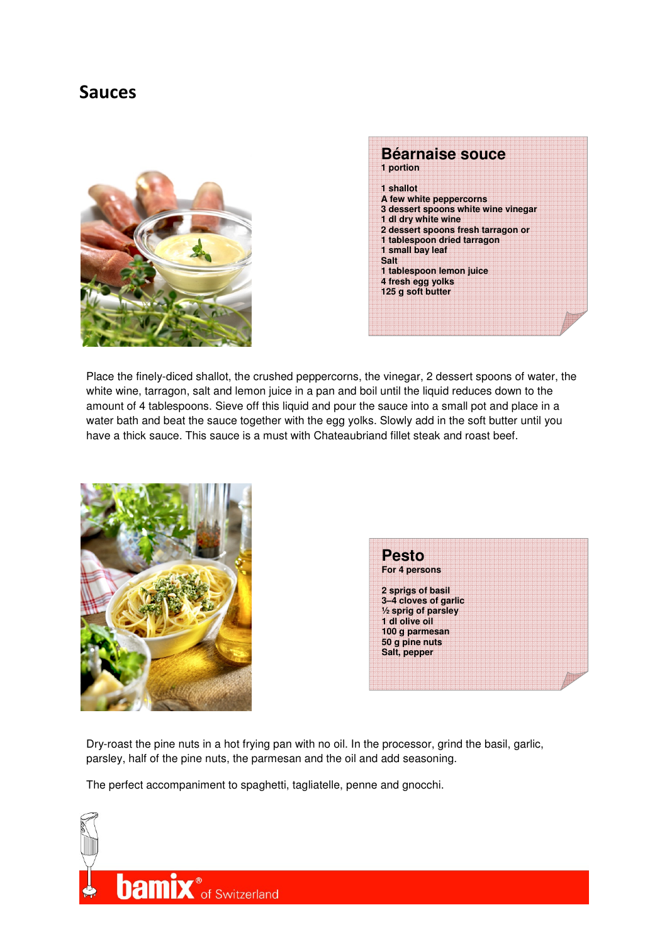## **Sauces**





Place the finely-diced shallot, the crushed peppercorns, the vinegar, 2 dessert spoons of water, the white wine, tarragon, salt and lemon juice in a pan and boil until the liquid reduces down to the amount of 4 tablespoons. Sieve off this liquid and pour the sauce into a small pot and place in a water bath and beat the sauce together with the egg yolks. Slowly add in the soft butter until you have a thick sauce. This sauce is a must with Chateaubriand fillet steak and roast beef.



| <b>Pesto</b>                   |  |  |  |  |
|--------------------------------|--|--|--|--|
| For 4 persons                  |  |  |  |  |
|                                |  |  |  |  |
| 2 sprigs of basil              |  |  |  |  |
|                                |  |  |  |  |
| 3-4 cloves of garlic           |  |  |  |  |
| $\frac{1}{2}$ sprig of parsley |  |  |  |  |
| 1 dl olive oil                 |  |  |  |  |
| 100 g parmesan                 |  |  |  |  |
| 50 g pine nuts                 |  |  |  |  |
| Salt, pepper                   |  |  |  |  |
|                                |  |  |  |  |
|                                |  |  |  |  |
|                                |  |  |  |  |
|                                |  |  |  |  |

Dry-roast the pine nuts in a hot frying pan with no oil. In the processor, grind the basil, garlic, parsley, half of the pine nuts, the parmesan and the oil and add seasoning.

The perfect accompaniment to spaghetti, tagliatelle, penne and gnocchi.